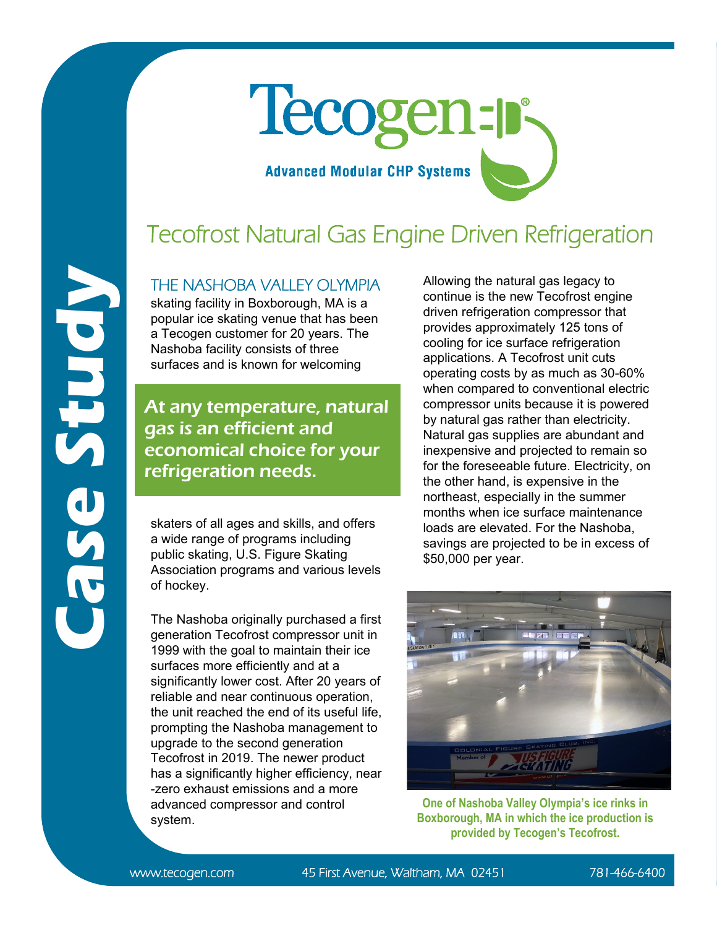# **Case Study**

# Tecogen-p **Advanced Modular CHP Systems**

## Tecofrost Natural Gas Engine Driven Refrigeration

### THE NASHOBA VALLEY OI YMPIA

skating facility in Boxborough, MA is a popular ice skating venue that has been a Tecogen customer for 20 years. The Nashoba facility consists of three surfaces and is known for welcoming

### At any temperature, natural gas is an efficient and economical choice for your refrigeration needs.

skaters of all ages and skills, and offers a wide range of programs including public skating, U.S. Figure Skating Association programs and various levels of hockey.

The Nashoba originally purchased a first generation Tecofrost compressor unit in 1999 with the goal to maintain their ice surfaces more efficiently and at a significantly lower cost. After 20 years of reliable and near continuous operation, the unit reached the end of its useful life, prompting the Nashoba management to upgrade to the second generation Tecofrost in 2019. The newer product has a significantly higher efficiency, near -zero exhaust emissions and a more advanced compressor and control system.

Allowing the natural gas legacy to continue is the new Tecofrost engine driven refrigeration compressor that provides approximately 125 tons of cooling for ice surface refrigeration applications. A Tecofrost unit cuts operating costs by as much as 30-60% when compared to conventional electric compressor units because it is powered by natural gas rather than electricity. Natural gas supplies are abundant and inexpensive and projected to remain so for the foreseeable future. Electricity, on the other hand, is expensive in the northeast, especially in the summer months when ice surface maintenance loads are elevated. For the Nashoba, savings are projected to be in excess of \$50,000 per year.



**One of Nashoba Valley Olympia's ice rinks in Boxborough, MA in which the ice production is provided by Tecogen's Tecofrost.**

www.tecogen.com 45 First Avenue, Waltham, MA 02451 781-466-6400